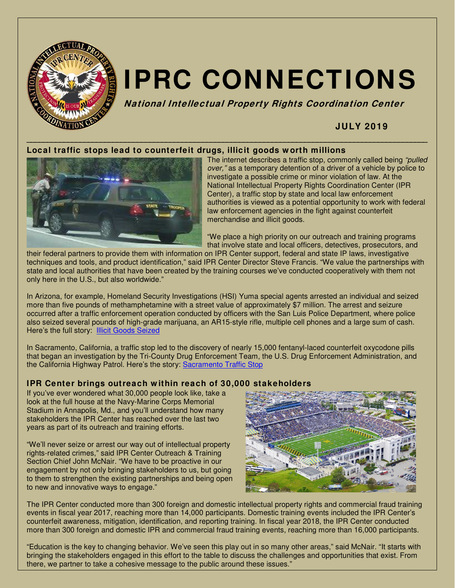

# **IPRC CONNECTIONS**

**National Intellectual Property Rights Coordination Center**

# **JULY 2019**

# **Local traffic stops lead to counterfeit drugs, illicit goods w orth millions**



The internet describes a traffic stop, commonly called being "pulled over," as a temporary detention of a driver of a vehicle by police to investigate a possible crime or minor violation of law. At the National Intellectual Property Rights Coordination Center (IPR Center), a traffic stop by state and local law enforcement authorities is viewed as a potential opportunity to work with federal law enforcement agencies in the fight against counterfeit merchandise and illicit goods.

"We place a high priority on our outreach and training programs that involve state and local officers, detectives, prosecutors, and

their federal partners to provide them with information on IPR Center support, federal and state IP laws, investigative techniques and tools, and product identification," said IPR Center Director Steve Francis. "We value the partnerships with state and local authorities that have been created by the training courses we've conducted cooperatively with them not only here in the U.S., but also worldwide."

In Arizona, for example, Homeland Security Investigations (HSI) Yuma special agents arrested an individual and seized more than five pounds of methamphetamine with a street value of approximately \$7 million. The arrest and seizure occurred after a traffic enforcement operation conducted by officers with the San Luis Police Department, where police also seized several pounds of high-grade marijuana, an AR15-style rifle, multiple cell phones and a large sum of cash. Here's the full story: **Illicit Goods Seized** 

In Sacramento, California, a traffic stop led to the discovery of nearly 15,000 fentanyl-laced counterfeit oxycodone pills that began an investigation by the Tri-County Drug Enforcement Team, the U.S. Drug Enforcement Administration, and the California Highway Patrol. Here's the story: Sacramento Traffic Stop

#### **IPR Center brings outreach w ithin reach of 30,000 stakeholders**

If you've ever wondered what 30,000 people look like, take a look at the full house at the Navy-Marine Corps Memorial Stadium in Annapolis, Md., and you'll understand how many stakeholders the IPR Center has reached over the last two years as part of its outreach and training efforts.

"We'll never seize or arrest our way out of intellectual property rights-related crimes," said IPR Center Outreach & Training Section Chief John McNair. "We have to be proactive in our engagement by not only bringing stakeholders to us, but going to them to strengthen the existing partnerships and being open to new and innovative ways to engage."



The IPR Center conducted more than 300 foreign and domestic intellectual property rights and commercial fraud training events in fiscal year 2017, reaching more than 14,000 participants. Domestic training events included the IPR Center's counterfeit awareness, mitigation, identification, and reporting training. In fiscal year 2018, the IPR Center conducted more than 300 foreign and domestic IPR and commercial fraud training events, reaching more than 16,000 participants.

"Education is the key to changing behavior. We've seen this play out in so many other areas," said McNair. "It starts with bringing the stakeholders engaged in this effort to the table to discuss the challenges and opportunities that exist. From there, we partner to take a cohesive message to the public around these issues."